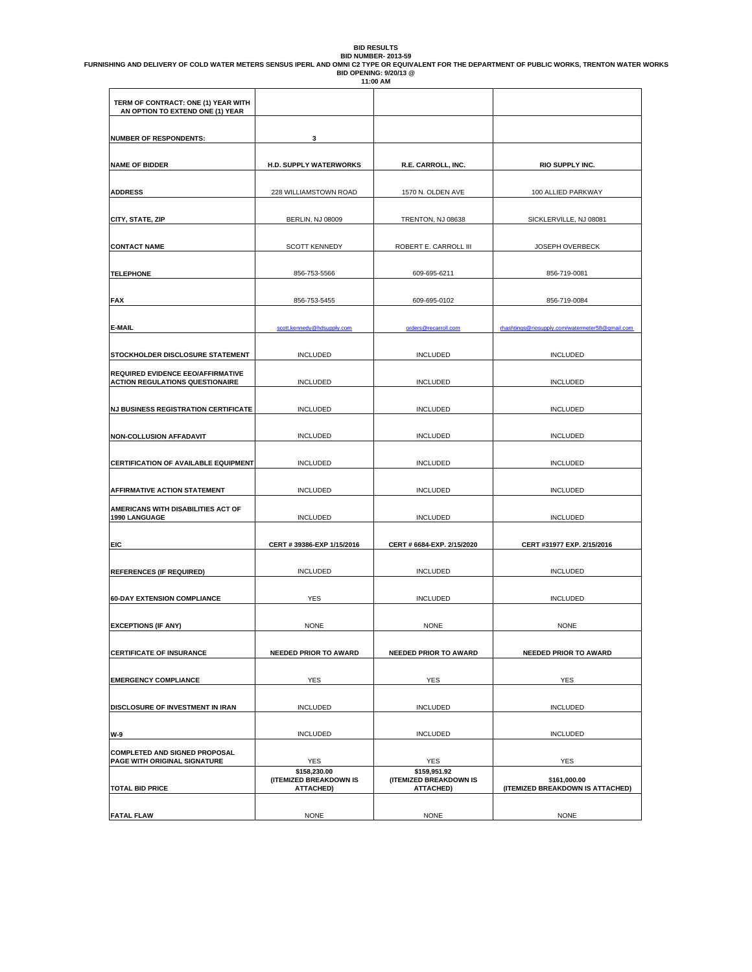BID RESULTS<br>BID NUMBER- 2013-59<br>BID OPTE OR TO ALLENT FOR THE DEPARTMENT OF PUBLIC WORKS, TRENTON WATER WORKS<br>11:00 AM<br>11:00 AM

| TERM OF CONTRACT: ONE (1) YEAR WITH<br>AN OPTION TO EXTEND ONE (1) YEAR     |                                                     |                                                            |                                                  |
|-----------------------------------------------------------------------------|-----------------------------------------------------|------------------------------------------------------------|--------------------------------------------------|
| <b>NUMBER OF RESPONDENTS:</b>                                               | 3                                                   |                                                            |                                                  |
| <b>NAME OF BIDDER</b>                                                       | <b>H.D. SUPPLY WATERWORKS</b>                       | R.E. CARROLL, INC.                                         | RIO SUPPLY INC.                                  |
| <b>ADDRESS</b>                                                              | 228 WILLIAMSTOWN ROAD                               | 1570 N. OLDEN AVE                                          | 100 ALLIED PARKWAY                               |
| CITY, STATE, ZIP                                                            | <b>BERLIN, NJ 08009</b>                             | TRENTON, NJ 08638                                          | SICKLERVILLE, NJ 08081                           |
| <b>CONTACT NAME</b>                                                         | <b>SCOTT KENNEDY</b>                                | ROBERT E. CARROLL III                                      | JOSEPH OVERBECK                                  |
| <b>TELEPHONE</b>                                                            | 856-753-5566                                        | 609-695-6211                                               | 856-719-0081                                     |
| <b>FAX</b>                                                                  | 856-753-5455                                        | 609-695-0102                                               | 856-719-0084                                     |
| <b>E-MAIL</b>                                                               | scott.kennedy@hdsupply.com                          | orders@recarroll.com                                       | rhashtings@riosupply.com/watermeter58@gmail.com  |
| STOCKHOLDER DISCLOSURE STATEMENT                                            | <b>INCLUDED</b>                                     | <b>INCLUDED</b>                                            | <b>INCLUDED</b>                                  |
| REQUIRED EVIDENCE EEO/AFFIRMATIVE<br><b>ACTION REGULATIONS QUESTIONAIRE</b> | <b>INCLUDED</b>                                     | <b>INCLUDED</b>                                            | <b>INCLUDED</b>                                  |
| <b>NJ BUSINESS REGISTRATION CERTIFICATE</b>                                 | <b>INCLUDED</b>                                     | <b>INCLUDED</b>                                            | <b>INCLUDED</b>                                  |
| <b>NON-COLLUSION AFFADAVIT</b>                                              | <b>INCLUDED</b>                                     | <b>INCLUDED</b>                                            | <b>INCLUDED</b>                                  |
| <b>CERTIFICATION OF AVAILABLE EQUIPMENT</b>                                 | <b>INCLUDED</b>                                     | <b>INCLUDED</b>                                            | <b>INCLUDED</b>                                  |
| AFFIRMATIVE ACTION STATEMENT                                                | <b>INCLUDED</b>                                     | <b>INCLUDED</b>                                            | <b>INCLUDED</b>                                  |
| AMERICANS WITH DISABILITIES ACT OF<br>1990 LANGUAGE                         | <b>INCLUDED</b>                                     | <b>INCLUDED</b>                                            | <b>INCLUDED</b>                                  |
| EIC                                                                         | CERT # 39386-EXP 1/15/2016                          | CERT # 6684-EXP. 2/15/2020                                 | CERT #31977 EXP. 2/15/2016                       |
| <b>REFERENCES (IF REQUIRED)</b>                                             | <b>INCLUDED</b>                                     | <b>INCLUDED</b>                                            | <b>INCLUDED</b>                                  |
| <b>60-DAY EXTENSION COMPLIANCE</b>                                          | <b>YES</b>                                          | <b>INCLUDED</b>                                            | <b>INCLUDED</b>                                  |
| <b>EXCEPTIONS (IF ANY)</b>                                                  | <b>NONE</b>                                         | <b>NONE</b>                                                | <b>NONE</b>                                      |
| <b>CERTIFICATE OF INSURANCE</b>                                             | <b>NEEDED PRIOR TO AWARD</b>                        | <b>NEEDED PRIOR TO AWARD</b>                               | <b>NEEDED PRIOR TO AWARD</b>                     |
| <b>EMERGENCY COMPLIANCE</b>                                                 | <b>YES</b>                                          | <b>YES</b>                                                 | <b>YES</b>                                       |
| DISCLOSURE OF INVESTMENT IN IRAN                                            | <b>INCLUDED</b>                                     | <b>INCLUDED</b>                                            | <b>INCLUDED</b>                                  |
| W-9                                                                         | <b>INCLUDED</b>                                     | <b>INCLUDED</b>                                            | <b>INCLUDED</b>                                  |
| <b>COMPLETED AND SIGNED PROPOSAL</b><br>PAGE WITH ORIGINAL SIGNATURE        | YES                                                 | <b>YES</b>                                                 | <b>YES</b>                                       |
| <b>TOTAL BID PRICE</b>                                                      | \$158,230.00<br>(ITEMIZED BREAKDOWN IS<br>ATTACHED) | \$159,951.92<br>(ITEMIZED BREAKDOWN IS<br><b>ATTACHED)</b> | \$161,000.00<br>(ITEMIZED BREAKDOWN IS ATTACHED) |
| <b>FATAL FLAW</b>                                                           | <b>NONE</b>                                         | <b>NONE</b>                                                | <b>NONE</b>                                      |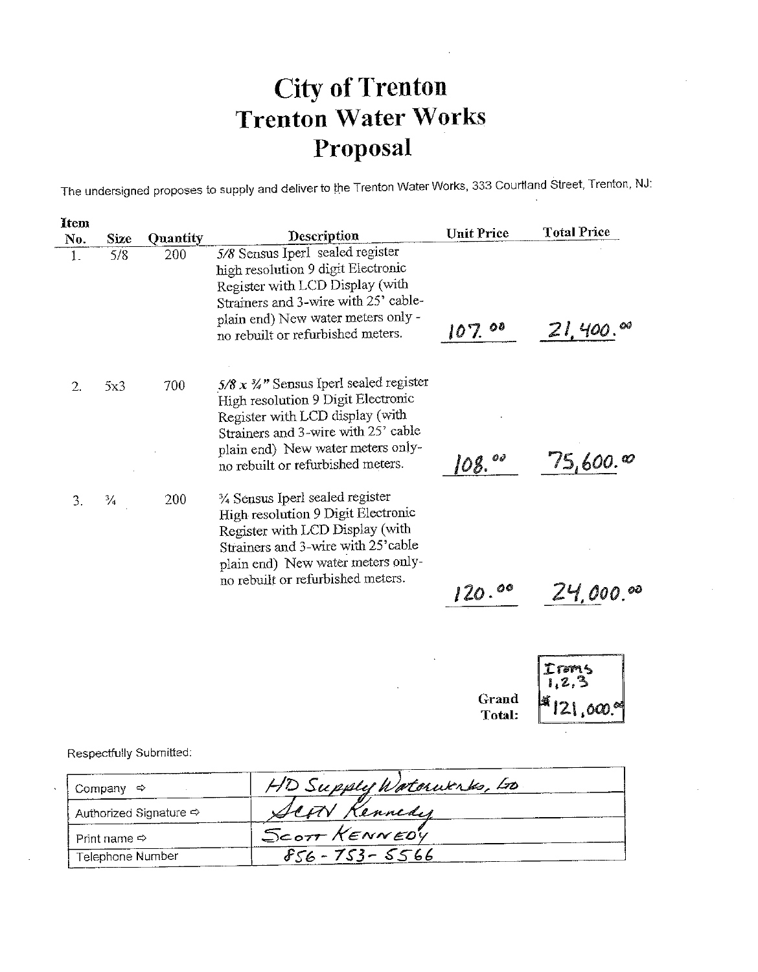The undersigned proposes to supply and deliver to the Trenton Water Works, 333 Courtland Street, Trenton, NJ:

| 1tem |               |          |                                                                                                                                                                                                                                              | <b>Unit Price</b> | <b>Total Price</b>     |
|------|---------------|----------|----------------------------------------------------------------------------------------------------------------------------------------------------------------------------------------------------------------------------------------------|-------------------|------------------------|
| No.  | Size          | Quantity | Description                                                                                                                                                                                                                                  |                   |                        |
| 1.   | 5/8           | 200      | 5/8 Sensus Iperl sealed register<br>high resolution 9 digit Electronic<br>Register with LCD Display (with<br>Strainers and 3-wire with 25' cable-<br>plain end) New water meters only -<br>no rebuilt or refurbished meters.                 | 107.00            | $21,400.^{\circ\circ}$ |
| 2.   | 5x3           | 700      | $5/8 x \frac{3}{4}$ " Sensus Iperl sealed register<br>High resolution 9 Digit Electronic<br>Register with LCD display (with<br>Strainers and 3-wire with 25' cable<br>plain end) New water meters only-<br>no rebuilt or refurbished meters. | OÏ<br>08.         | 75,600.∞               |
| 3.   | $\frac{3}{4}$ | 200      | 1/4 Sensus Iperl sealed register<br>High resolution 9 Digit Electronic<br>Register with LCD Display (with<br>Strainers and 3-wire with 25'cable<br>plain end) New water meters only-<br>no rebuilt or refurbished meters.                    | 120.00            | 24,000.00              |

Irms  $\mathcal{P}$ Grand  $21,000$ . Total:

Respectfully Submitted:

| Company<br>– ⇔               | HD Supply Waterworks, Los |
|------------------------------|---------------------------|
| Authorized Signature ⇒       | SCON Kennedy              |
| Print name $\Leftrightarrow$ | SCOTT KENNEDY             |
| Telephone Number             | $856 - 753 - 5566$        |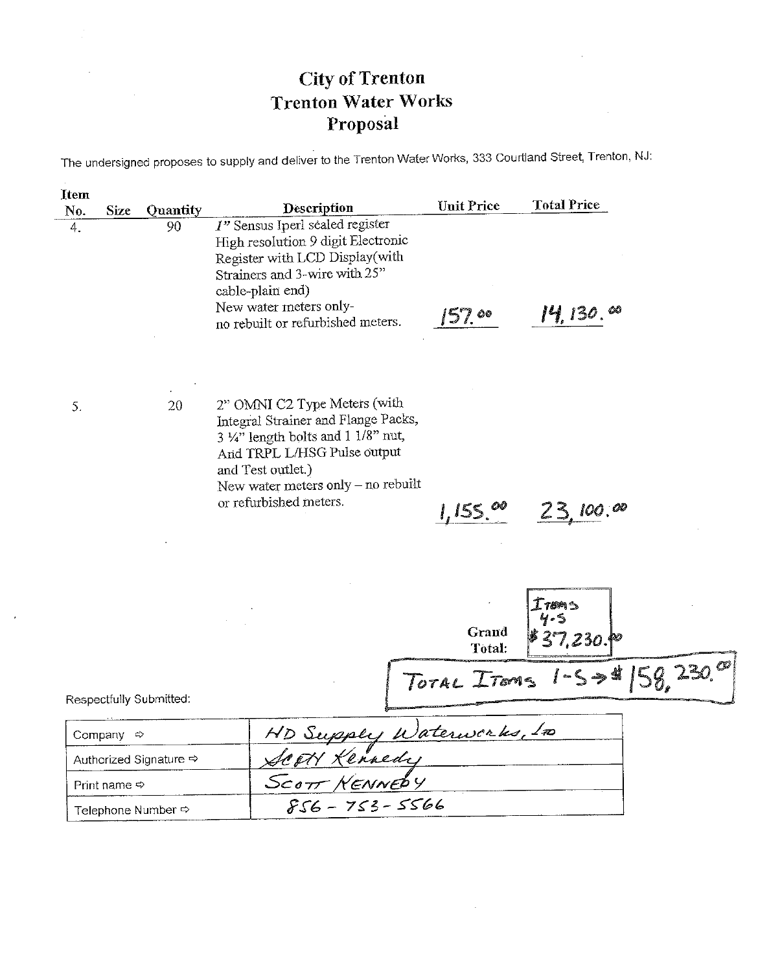The undersigned proposes to supply and deliver to the Trenton Water Works, 333 Courtland Street, Trenton, NJ:

| Item |                           |                                    |                                                                                                                                                                                                                                         |                   |                            |
|------|---------------------------|------------------------------------|-----------------------------------------------------------------------------------------------------------------------------------------------------------------------------------------------------------------------------------------|-------------------|----------------------------|
| No.  | Size                      | Quantity                           | Description                                                                                                                                                                                                                             | <b>Unit Price</b> | <b>Total Price</b>         |
| 4.   |                           | 90                                 | 1" Sensus Iperl sealed register<br>High resolution 9 digit Electronic<br>Register with LCD Display(with<br>Strainers and 3-wire with 25"<br>cable-plain end)<br>New water meters only-<br>no rebuilt or refurbished meters.             | 157.00            | $14, 130.$ $\infty$        |
| 5.   |                           | 20                                 | 2" OMNI C2 Type Meters (with<br>Integral Strainer and Flange Packs,<br>$3 \frac{1}{4}$ length bolts and 1 1/8" nut,<br>And TRPL L/HSG Pulse output<br>and Test outlet.)<br>New water meters only – no rebuilt<br>or refurbished meters. | 1,155.00          | 23,100.00                  |
|      |                           |                                    |                                                                                                                                                                                                                                         | Grand<br>Total:   | $T$ roms<br>ڪ و<br>37,230. |
|      |                           | Respectfully Submitted:            |                                                                                                                                                                                                                                         |                   | TOTAL ITOMS 1-5 >\$        |
|      | Company $\Leftrightarrow$ |                                    | HD Supply Waterworks, 100                                                                                                                                                                                                               |                   |                            |
|      |                           | Authorized Signature <>            | <u>SCOTY Kennedy</u><br>SCOTT NENNEDY<br>856 - 753 - 5566                                                                                                                                                                               |                   |                            |
|      | Print name $\Rightarrow$  |                                    |                                                                                                                                                                                                                                         |                   |                            |
|      |                           | Telephone Number $\Leftrightarrow$ |                                                                                                                                                                                                                                         |                   |                            |

 $\sim$ 

 $\mathcal{A}$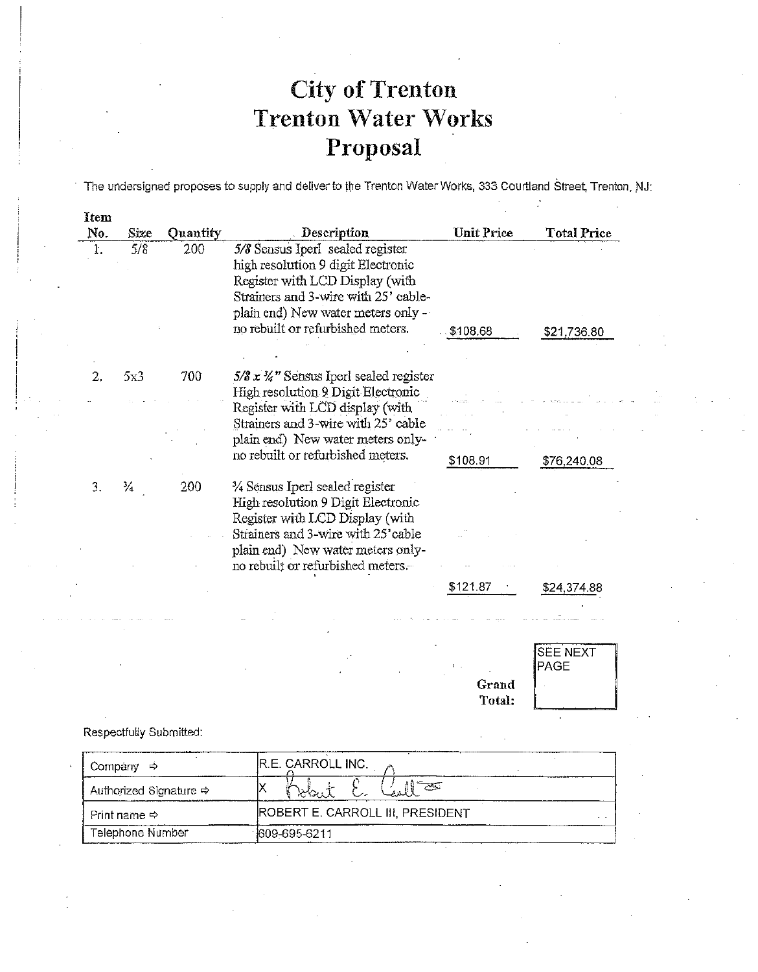The undersigned proposes to supply and deliver to the Trenton Water Works, 333 Courtland Street, Trenton, NJ:

 $\mathcal{I}$ 

Total:

| rtem<br>No. | Size | Quantity | Description                                | <b>Unit Price</b> | <b>Total Price</b> |
|-------------|------|----------|--------------------------------------------|-------------------|--------------------|
| ŀ.          | 5/8  | 200      | 5/8 Sensus Iperl sealed register           |                   |                    |
|             |      |          | high resolution 9 digit Electronic         |                   |                    |
|             |      |          | Register with LCD Display (with            |                   |                    |
|             |      |          | Strainers and 3-wire with 25' cable-       |                   |                    |
|             |      |          | plain end) New water meters only -         |                   |                    |
|             |      |          | no rebuilt or refurbished meters.          | \$108.68          | \$21 736.80        |
|             |      |          |                                            |                   |                    |
|             |      |          |                                            |                   |                    |
| 2.          | 5x3  | 700      | $5/8 x 3/2$ " Sensus Iperl sealed register |                   |                    |
|             |      |          | High resolution 9 Digit Electronic         |                   |                    |
|             |      |          | Register with LCD display (with            |                   |                    |
|             |      |          | Strainers and 3-wire with 25' cable        |                   |                    |
|             |      |          | plain end) New water meters only-          |                   |                    |
|             |      |          | no rebuilt or refurbished meters.          | \$108.91          | \$76,240.08        |
| 3.          | ⅛    | 200      | 3/4 Sensus Iperl sealed register           |                   |                    |
|             |      |          | High resolution 9 Digit Electronic         |                   |                    |
|             |      |          | Register with LCD Display (with            |                   |                    |
|             |      |          | Strainers and 3-wire with 25'cable         |                   |                    |
|             |      |          | plain end) New water meters only-          |                   |                    |
|             |      |          | no rebuilt or refurbished meters.          |                   |                    |
|             |      |          |                                            | \$121.87          | \$24 374 88        |
|             |      |          |                                            |                   |                    |
|             |      |          |                                            |                   |                    |
|             |      |          |                                            |                   |                    |
|             |      |          |                                            |                   | SEE NEXT           |
|             |      |          |                                            |                   | PAGE               |
|             |      |          |                                            | Grand             |                    |

Respectfully Submitted:

| Company<br>⇨                       | R.E. CARROLL INC.                |
|------------------------------------|----------------------------------|
| Authorized Signature $\Rightarrow$ | ن ډان(                           |
| Print name $\Leftrightarrow$       | ROBERT E. CARROLL III, PRESIDENT |
| Telephone Number<br>809-695-6211   |                                  |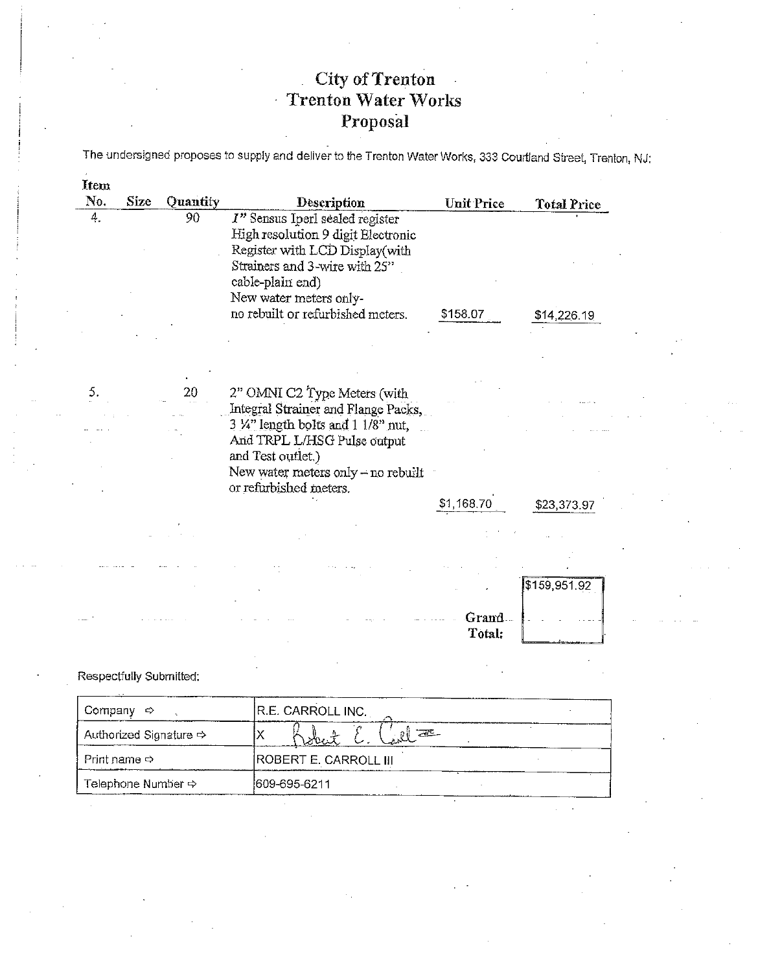The undersigned proposes to supply and deliver to the Trenton Water Works, 333 Courtland Street, Trenton, NJ:

| Item                     |               |                         |                                                                                                                                                                                        |                   |                    |  |
|--------------------------|---------------|-------------------------|----------------------------------------------------------------------------------------------------------------------------------------------------------------------------------------|-------------------|--------------------|--|
| No.                      | <b>Size</b>   | Quantity                | <b>Description</b>                                                                                                                                                                     | <b>Unit Price</b> | <b>Total Price</b> |  |
| 4.                       |               | 90                      | I" Sensus Iperl sealed register<br>High resolution 9 digit Electronic<br>Register with LCD Display(with<br>Strainers and 3-wire with 25"<br>cable-plain end)<br>New water meters only- |                   |                    |  |
|                          |               |                         | no rebuilt or refurbished meters.                                                                                                                                                      | \$158.07          | \$14,226.19        |  |
|                          |               |                         |                                                                                                                                                                                        |                   |                    |  |
| 5.                       |               | 20                      | 2" OMNI C2 Type Meters (with<br>Integral Strainer and Flange Packs,<br>$3 \frac{1}{4}$ " length bolts and $1 \frac{1}{8}$ " nut,                                                       |                   |                    |  |
|                          |               |                         | And TRPL L/HSG Pulse output<br>and Test outlet.)<br>New water meters only - no rebuilt<br>or refurbished meters.                                                                       |                   |                    |  |
|                          |               |                         |                                                                                                                                                                                        | \$1,168.70        | \$23,373.97        |  |
|                          |               |                         |                                                                                                                                                                                        |                   |                    |  |
|                          |               |                         |                                                                                                                                                                                        |                   |                    |  |
|                          |               |                         |                                                                                                                                                                                        |                   | \$159,951.92       |  |
|                          |               |                         |                                                                                                                                                                                        | Grand<br>Total:   |                    |  |
| Respectfully Submitted:  |               |                         |                                                                                                                                                                                        |                   |                    |  |
| Company                  | $\Rightarrow$ |                         | R.E. CARROLL INC.                                                                                                                                                                      |                   |                    |  |
|                          |               | Authorized Signature <> | $20 - 19$<br>Χ                                                                                                                                                                         |                   |                    |  |
| Print name $\Rightarrow$ |               |                         | ROBERT E. CARROLL III                                                                                                                                                                  |                   |                    |  |

 $\mathbb{Z}^{\mathbb{Z}}$  .

609-695-6211

Telephone Number  $\Leftrightarrow$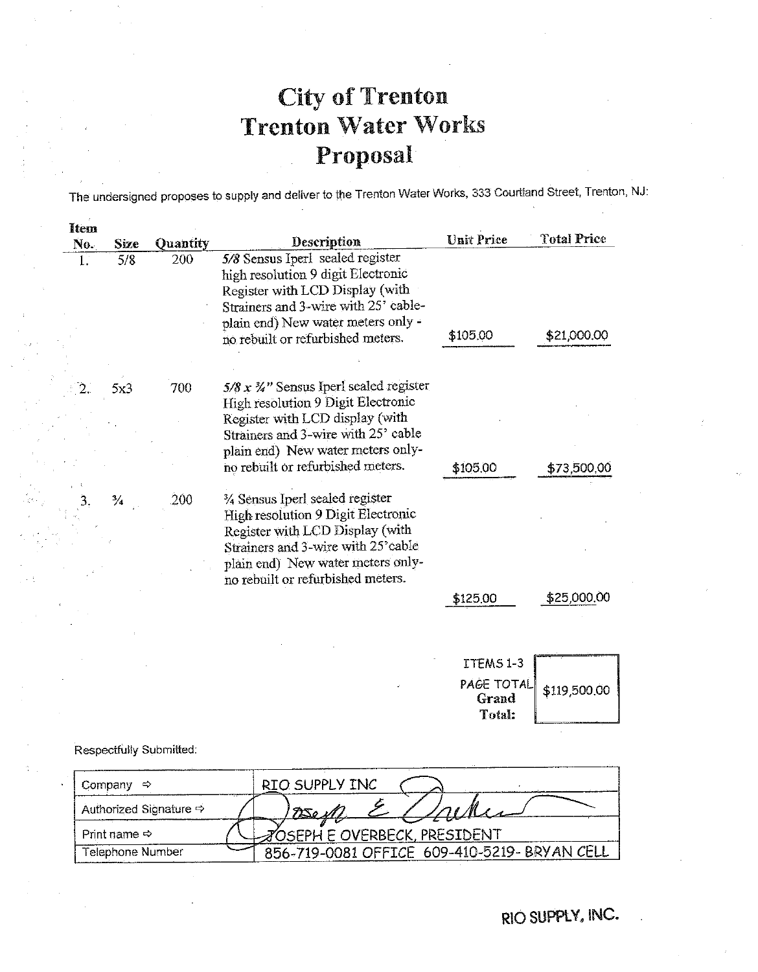The undersigned proposes to supply and deliver to the Trenton Water Works, 333 Courtland Street, Trenton, NJ:

| liem |               |          |                                                                                                                                                   |                   | <b>Total Price</b> |
|------|---------------|----------|---------------------------------------------------------------------------------------------------------------------------------------------------|-------------------|--------------------|
| No.  | Size          | Quantity | Description                                                                                                                                       | <b>Unit Price</b> |                    |
| 1.   | 5/8           | 200      | 5/8 Sensus Iperl sealed register<br>high resolution 9 digit Electronic<br>Register with LCD Display (with<br>Strainers and 3-wire with 25' cable- |                   |                    |
|      |               |          | plain end) New water meters only -<br>no rebuilt or refurbished meters.                                                                           | \$105.00          | \$21,000.00        |
|      |               |          |                                                                                                                                                   |                   |                    |
|      | 5x3           | 700      | $5/8 x 3/2$ " Sensus Iperl sealed register<br>High resolution 9 Digit Electronic                                                                  |                   |                    |
|      |               |          | Register with LCD display (with<br>Strainers and 3-wire with 25' cable                                                                            |                   |                    |
|      |               |          | plain end) New water meters only-<br>no rebuilt or refurbished meters.                                                                            | \$105.00          | \$73,500,00        |
|      | $\frac{3}{4}$ | 200      | 3/4 Sensus Iperl sealed register<br>High resolution 9 Digit Electronic                                                                            |                   |                    |
|      |               |          | Register with LCD Display (with<br>Strainers and 3-wire with 25' cable                                                                            |                   |                    |
|      |               |          | plain end) New water meters only-<br>no rebuilt or refurbished meters.                                                                            |                   |                    |
|      |               |          |                                                                                                                                                   | \$125.00          | \$25,000.00        |
|      |               |          |                                                                                                                                                   |                   |                    |

ITEMS 1-3 PAGE TOTAL \$119,500.00 Grand Total:

Respectfully Submitted:

| Company $\Rightarrow$              | RIO SUPPLY INC                               |
|------------------------------------|----------------------------------------------|
| Authorized Signature $\Rightarrow$ | 1950 M                                       |
| Print name $\Rightarrow$           | ⊿OSEPH E OVERBECK, PRESIDENT                 |
| Telephone Number                   | 856-719-0081 OFFICE 609-410-5219- BRYAN CELL |